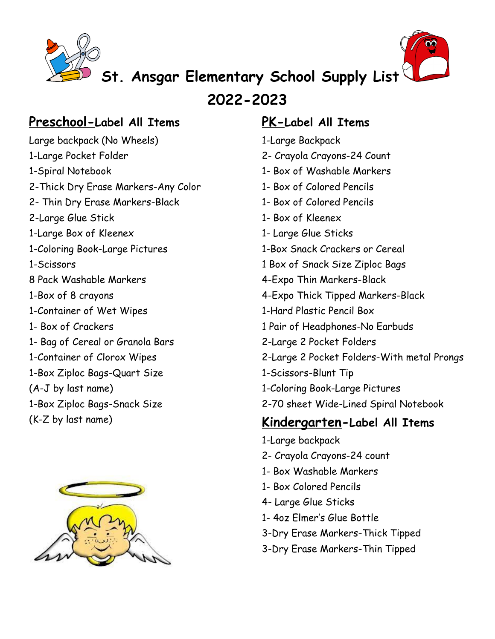



**St. Ansgar Elementary School Supply List**

**2022-2023**

#### **Preschool-Label All Items**

Large backpack (No Wheels) 1-Large Pocket Folder 1-Spiral Notebook 2-Thick Dry Erase Markers-Any Color 2- Thin Dry Erase Markers-Black 2-Large Glue Stick 1-Large Box of Kleenex 1-Coloring Book-Large Pictures 1-Scissors 8 Pack Washable Markers 1-Box of 8 crayons 1-Container of Wet Wipes 1- Box of Crackers 1- Bag of Cereal or Granola Bars 1-Container of Clorox Wipes 1-Box Ziploc Bags-Quart Size (A-J by last name) 1-Box Ziploc Bags-Snack Size (K-Z by last name)



#### **PK-Label All Items**

- 1-Large Backpack
- 2- Crayola Crayons-24 Count
- 1- Box of Washable Markers
- 1- Box of Colored Pencils
- 1- Box of Colored Pencils
- 1- Box of Kleenex
- 1- Large Glue Sticks
- 1-Box Snack Crackers or Cereal
- 1 Box of Snack Size Ziploc Bags
- 4-Expo Thin Markers-Black
- 4-Expo Thick Tipped Markers-Black
- 1-Hard Plastic Pencil Box
- 1 Pair of Headphones-No Earbuds
- 2-Large 2 Pocket Folders
- 2-Large 2 Pocket Folders-With metal Prongs
- 1-Scissors-Blunt Tip
- 1-Coloring Book-Large Pictures
- 2-70 sheet Wide-Lined Spiral Notebook

#### **Kindergarten-Label All Items**

- 1-Large backpack
- 2- Crayola Crayons-24 count
- 1- Box Washable Markers
- 1- Box Colored Pencils
- 4- Large Glue Sticks
- 1- 4oz Elmer's Glue Bottle
- 3-Dry Erase Markers-Thick Tipped
- 3-Dry Erase Markers-Thin Tipped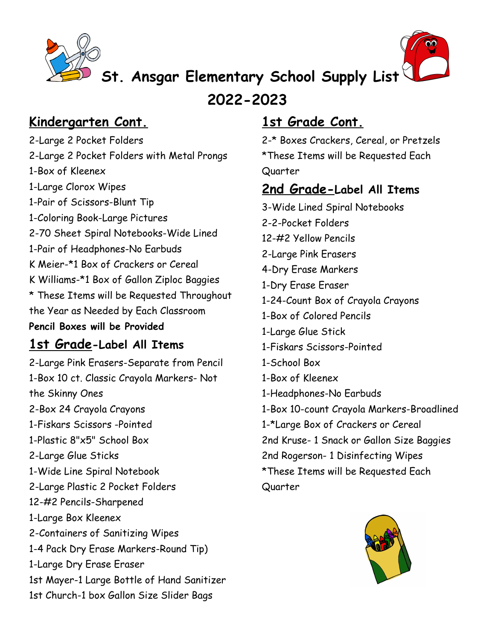



# **St. Ansgar Elementary School Supply List**

**2022-2023**

# **Kindergarten Cont.**

2-Large 2 Pocket Folders 2-Large 2 Pocket Folders with Metal Prongs 1-Box of Kleenex 1-Large Clorox Wipes 1-Pair of Scissors-Blunt Tip 1-Coloring Book-Large Pictures 2-70 Sheet Spiral Notebooks-Wide Lined 1-Pair of Headphones-No Earbuds K Meier-\*1 Box of Crackers or Cereal K Williams-\*1 Box of Gallon Ziploc Baggies \* These Items will be Requested Throughout the Year as Needed by Each Classroom **Pencil Boxes will be Provided**

## **1st Grade-Label All Items**

2-Large Pink Erasers-Separate from Pencil 1-Box 10 ct. Classic Crayola Markers- Not the Skinny Ones 2-Box 24 Crayola Crayons 1-Fiskars Scissors -Pointed 1-Plastic 8"x5" School Box 2-Large Glue Sticks 1-Wide Line Spiral Notebook 2-Large Plastic 2 Pocket Folders 12-#2 Pencils-Sharpened 1-Large Box Kleenex 2-Containers of Sanitizing Wipes 1-4 Pack Dry Erase Markers-Round Tip) 1-Large Dry Erase Eraser 1st Mayer-1 Large Bottle of Hand Sanitizer 1st Church-1 box Gallon Size Slider Bags

# **1st Grade Cont.**

2-\* Boxes Crackers, Cereal, or Pretzels \*These Items will be Requested Each Quarter

## **2nd Grade-Label All Items**

3-Wide Lined Spiral Notebooks 2-2-Pocket Folders 12-#2 Yellow Pencils 2-Large Pink Erasers 4-Dry Erase Markers 1-Dry Erase Eraser 1-24-Count Box of Crayola Crayons 1-Box of Colored Pencils 1-Large Glue Stick 1-Fiskars Scissors-Pointed 1-School Box 1-Box of Kleenex 1-Headphones-No Earbuds 1-Box 10-count Crayola Markers-Broadlined 1-\*Large Box of Crackers or Cereal 2nd Kruse- 1 Snack or Gallon Size Baggies 2nd Rogerson- 1 Disinfecting Wipes \*These Items will be Requested Each Quarter

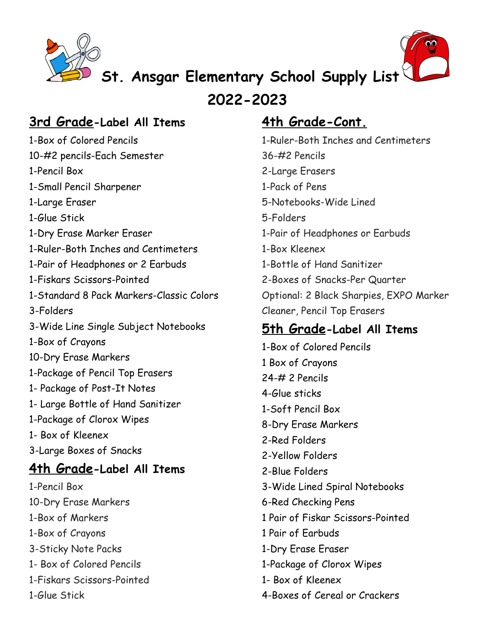



# **St. Ansgar Elementary School Supply List**

**2022-2023**

#### **3rd Grade-Label All Items**

1-Box of Colored Pencils 10-#2 pencils-Each Semester 1-Pencil Box 1-Small Pencil Sharpener 1-Large Eraser 1-Glue Stick 1-Dry Erase Marker Eraser 1-Ruler-Both Inches and Centimeters 1-Pair of Headphones or 2 Earbuds 1-Fiskars Scissors-Pointed 1-Standard 8 Pack Markers-Classic Colors 3-Folders 3-Wide Line Single Subject Notebooks 1-Box of Crayons 10-Dry Erase Markers 1-Package of Pencil Top Erasers 1- Package of Post-It Notes 1- Large Bottle of Hand Sanitizer 1-Package of Clorox Wipes 1- Box of Kleenex 3-Large Boxes of Snacks **4th Grade-Label All Items** 1-Pencil Box 10-Dry Erase Markers 1-Box of Markers 1-Box of Crayons 3-Sticky Note Packs

- 1- Box of Colored Pencils
- 1-Fiskars Scissors-Pointed

1-Glue Stick

## **4th Grade-Cont.**

1-Ruler-Both Inches and Centimeters 36-#2 Pencils 2-Large Erasers 1-Pack of Pens 5-Notebooks-Wide Lined 5-Folders 1-Pair of Headphones or Earbuds 1-Box Kleenex 1-Bottle of Hand Sanitizer 2-Boxes of Snacks-Per Quarter Optional: 2 Black Sharpies, EXPO Marker Cleaner, Pencil Top Erasers

### **5th Grade-Label All Items**

1-Box of Colored Pencils 1 Box of Crayons 24-# 2 Pencils 4-Glue sticks 1-Soft Pencil Box 8-Dry Erase Markers 2-Red Folders 2-Yellow Folders 2-Blue Folders 3-Wide Lined Spiral Notebooks 6-Red Checking Pens 1 Pair of Fiskar Scissors-Pointed 1 Pair of Earbuds 1-Dry Erase Eraser 1-Package of Clorox Wipes 1- Box of Kleenex 4-Boxes of Cereal or Crackers